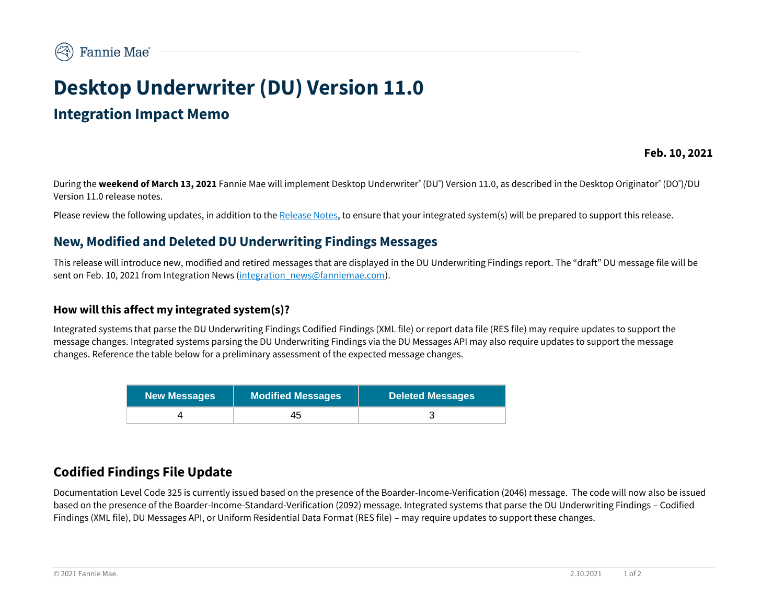# **Desktop Underwriter (DU) Version 11.0**

# **Integration Impact Memo**

**Feb. 10, 2021**

During the **weekend of March 13, 2021** Fannie Mae will implement Desktop Underwriter® (DU®) Version 11.0, as described in the Desktop Originator® (DO®)/DU Version 11.0 release notes.

Please review the following updates, in addition to th[e Release Notes,](https://singlefamily.fanniemae.com/media/document/pdf/du-v-110-release-mar-13-2021) to ensure that your integrated system(s) will be prepared to support this release.

## **New, Modified and Deleted DU Underwriting Findings Messages**

This release will introduce new, modified and retired messages that are displayed in the DU Underwriting Findings report. The "draft" DU message file will be sent on Feb. 10, 2021 from Integration News (integration news@fanniemae.com).

#### **How will this affect my integrated system(s)?**

Integrated systems that parse the DU Underwriting Findings Codified Findings (XML file) or report data file (RES file) may require updates to support the message changes. Integrated systems parsing the DU Underwriting Findings via the DU Messages API may also require updates to support the message changes. Reference the table below for a preliminary assessment of the expected message changes.

| <b>New Messages</b> | <b>Modified Messages</b> | <b>Deleted Messages</b> |
|---------------------|--------------------------|-------------------------|
|                     | 45                       |                         |

## **Codified Findings File Update**

Documentation Level Code 325 is currently issued based on the presence of the Boarder-Income-Verification (2046) message. The code will now also be issued based on the presence of the Boarder-Income-Standard-Verification (2092) message. Integrated systems that parse the DU Underwriting Findings – Codified Findings (XML file), DU Messages API, or Uniform Residential Data Format (RES file) – may require updates to support these changes.